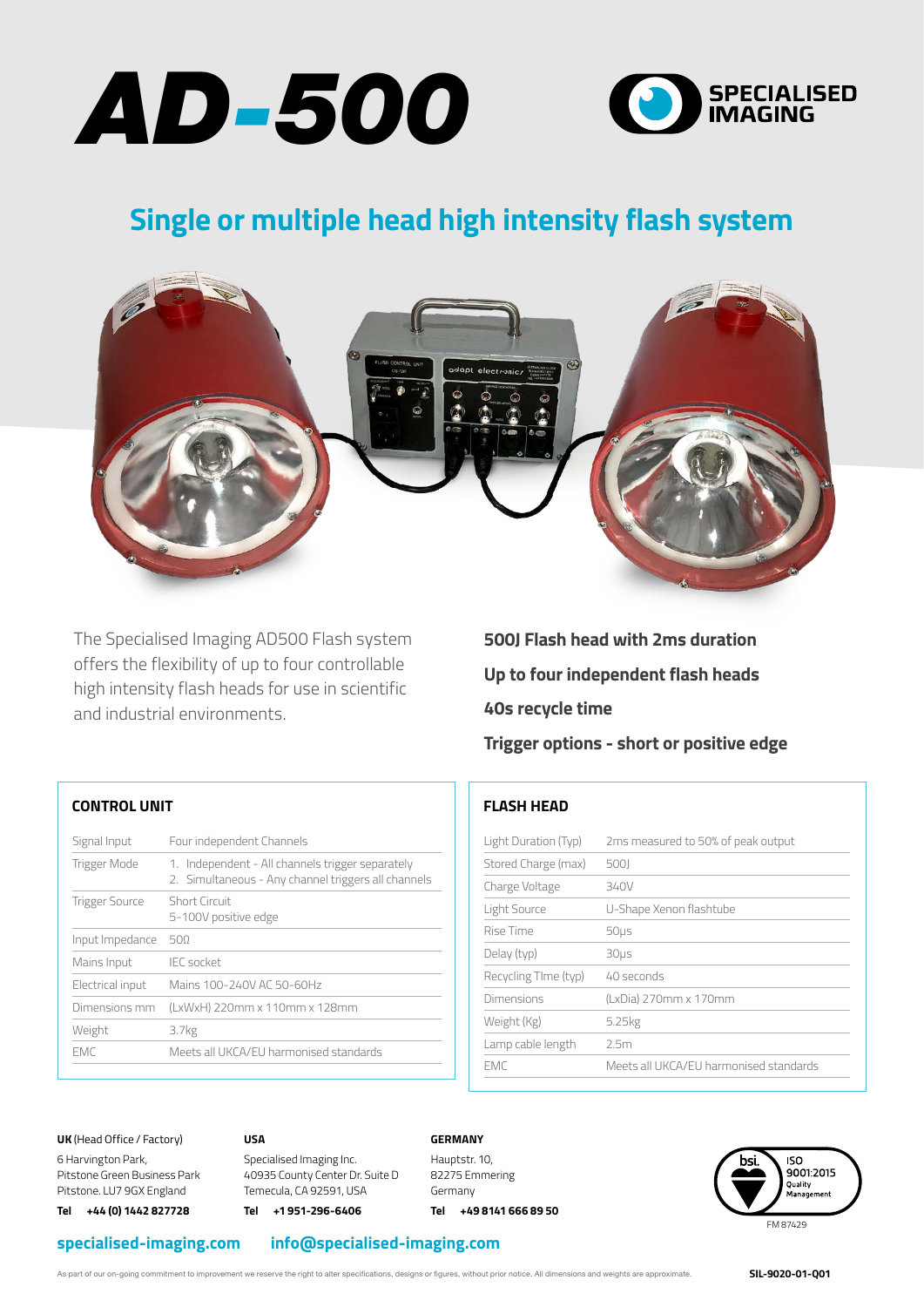



## **Single or multiple head high intensity flash system**



The Specialised Imaging AD500 Flash system offers the flexibility of up to four controllable high intensity flash heads for use in scientific and industrial environments.

**500J Flash head with 2ms duration Up to four independent flash heads 40s recycle time Trigger options - short or positive edge**

### **CONTROL UNIT**

| Signal Input          | Four independent Channels                                                                               |
|-----------------------|---------------------------------------------------------------------------------------------------------|
| Trigger Mode          | 1. Independent - All channels trigger separately<br>2. Simultaneous - Any channel triggers all channels |
| <b>Trigger Source</b> | Short Circuit<br>5-100V positive edge                                                                   |
| Input Impedance       | 500                                                                                                     |
| Mains Input           | <b>IEC</b> socket                                                                                       |
| Electrical input      | Mains 100-240V AC 50-60Hz                                                                               |
| Dimensions mm         | (LxWxH) 220mm x 110mm x 128mm                                                                           |
| Weight                | 3.7kg                                                                                                   |
| <b>FMC</b>            | Meets all UKCA/EU harmonised standards                                                                  |
|                       |                                                                                                         |

### **FLASH HEAD**

| Light Duration (Typ) | 2ms measured to 50% of peak output     |
|----------------------|----------------------------------------|
| Stored Charge (max)  | 5001                                   |
| Charge Voltage       | 340V                                   |
| Light Source         | U-Shape Xenon flashtube                |
| Rise Time            | 50 <sub>µ</sub>                        |
| Delay (typ)          | $30µ$ s                                |
| Recycling TIme (typ) | 40 seconds                             |
| Dimensions           | (LxDia) 270mm x 170mm                  |
| Weight (Kg)          | 5.25kg                                 |
| Lamp cable length    | 2.5m                                   |
| FMC                  | Meets all UKCA/EU harmonised standards |

**UK** (Head Office / Factory)

6 Harvington Park, Pitstone Green Business Park Pitstone. LU7 9GX England **Tel +44 (0) 1442 827728** 

**USA**

Specialised Imaging Inc. 40935 County Center Dr. Suite D Temecula, CA 92591, USA

**Tel +1 951-296-6406** 

### **GERMANY**

Hauptstr. 10, 82275 Emmering Germany

**Tel +49 8141 666 89 50**



**International sales +44 (0) 1442 827728 USA & Canada +1 951-296-6406 specialised-imaging.com specialised-imaging.com info@specialised-imaging.com**

As part of our on-going commitment to improvement we reserve the right to alter specifications, designs or figures, without prior notice. All dimensions and weights are approximate.